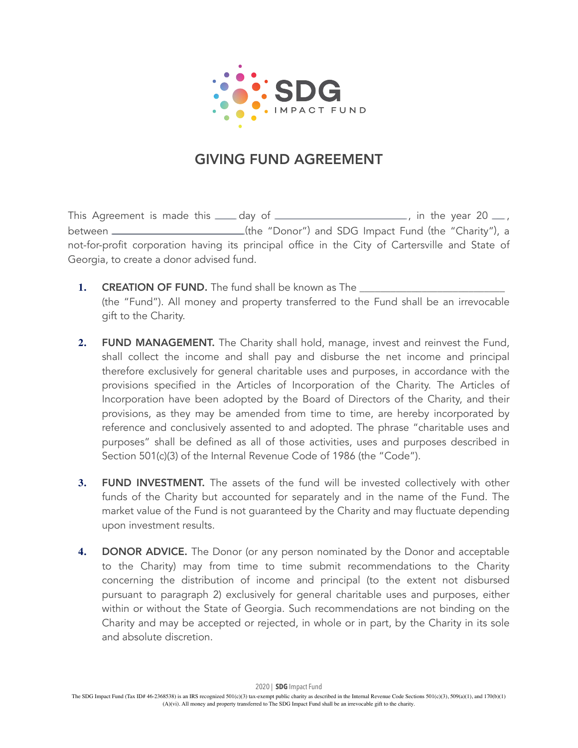

## GIVING FUND AGREEMENT

This Agreement is made this  $\frac{1}{\sqrt{2}}$  day of  $\frac{1}{\sqrt{2}}$  , in the year 20  $\frac{1}{\sqrt{2}}$ , between \_\_\_\_\_\_\_\_\_\_\_\_\_\_\_\_\_\_\_\_\_\_\_\_\_(the "Donor") and SDG Impact Fund (the "Charity"), a not-for-profit corporation having its principal office in the City of Cartersville and State of Georgia, to create a donor advised fund.

- **1.** CREATION OF FUND. The fund shall be known as The (the "Fund"). All money and property transferred to the Fund shall be an irrevocable gift to the Charity.
- **2.** FUND MANAGEMENT. The Charity shall hold, manage, invest and reinvest the Fund, shall collect the income and shall pay and disburse the net income and principal therefore exclusively for general charitable uses and purposes, in accordance with the provisions specified in the Articles of Incorporation of the Charity. The Articles of Incorporation have been adopted by the Board of Directors of the Charity, and their provisions, as they may be amended from time to time, are hereby incorporated by reference and conclusively assented to and adopted. The phrase "charitable uses and purposes" shall be defined as all of those activities, uses and purposes described in Section 501(c)(3) of the Internal Revenue Code of 1986 (the "Code").
- **3.** FUND INVESTMENT. The assets of the fund will be invested collectively with other funds of the Charity but accounted for separately and in the name of the Fund. The market value of the Fund is not guaranteed by the Charity and may fluctuate depending upon investment results.
- **4.** DONOR ADVICE. The Donor (or any person nominated by the Donor and acceptable to the Charity) may from time to time submit recommendations to the Charity concerning the distribution of income and principal (to the extent not disbursed pursuant to paragraph 2) exclusively for general charitable uses and purposes, either within or without the State of Georgia. Such recommendations are not binding on the Charity and may be accepted or rejected, in whole or in part, by the Charity in its sole and absolute discretion.

2020 | **SDG** Impact Fund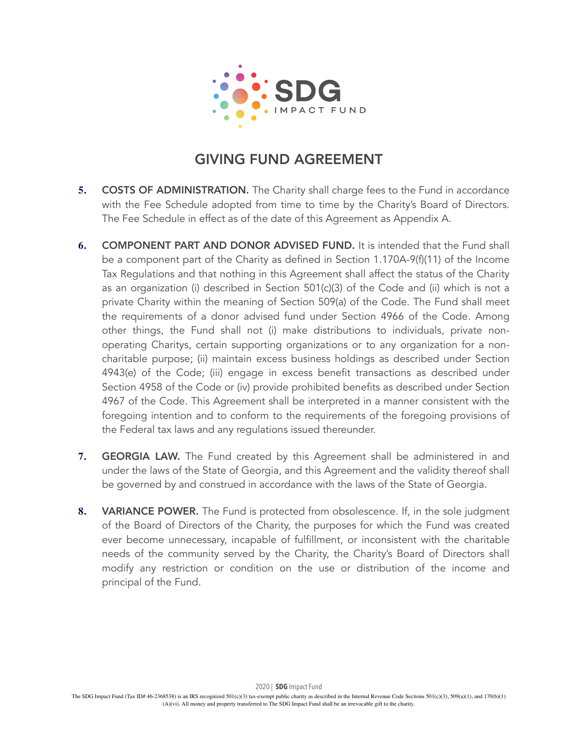

## GIVING FUND AGREEMENT

- **5. COSTS OF ADMINISTRATION.** The Charity shall charge fees to the Fund in accordance with the Fee Schedule adopted from time to time by the Charity's Board of Directors. The Fee Schedule in effect as of the date of this Agreement as Appendix A.
- **6.** COMPONENT PART AND DONOR ADVISED FUND. It is intended that the Fund shall be a component part of the Charity as defined in Section 1.170A-9(f)(11) of the Income Tax Regulations and that nothing in this Agreement shall affect the status of the Charity as an organization (i) described in Section 501(c)(3) of the Code and (ii) which is not a private Charity within the meaning of Section 509(a) of the Code. The Fund shall meet the requirements of a donor advised fund under Section 4966 of the Code. Among other things, the Fund shall not (i) make distributions to individuals, private nonoperating Charitys, certain supporting organizations or to any organization for a noncharitable purpose; (ii) maintain excess business holdings as described under Section 4943(e) of the Code; (iii) engage in excess benefit transactions as described under Section 4958 of the Code or (iv) provide prohibited benefits as described under Section 4967 of the Code. This Agreement shall be interpreted in a manner consistent with the foregoing intention and to conform to the requirements of the foregoing provisions of the Federal tax laws and any regulations issued thereunder.
- **7.** GEORGIA LAW. The Fund created by this Agreement shall be administered in and under the laws of the State of Georgia, and this Agreement and the validity thereof shall be governed by and construed in accordance with the laws of the State of Georgia.
- **8.** VARIANCE POWER. The Fund is protected from obsolescence. If, in the sole judgment of the Board of Directors of the Charity, the purposes for which the Fund was created ever become unnecessary, incapable of fulfillment, or inconsistent with the charitable needs of the community served by the Charity, the Charity's Board of Directors shall modify any restriction or condition on the use or distribution of the income and principal of the Fund.